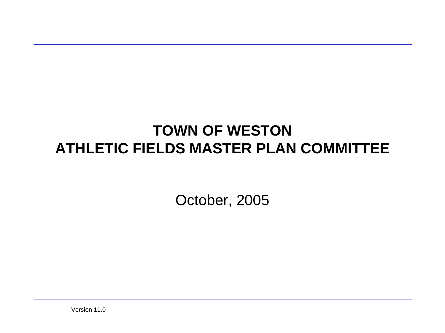### **TOWN OF WESTON ATHLETIC FIELDS MASTER PLAN COMMITTEE**

October, 2005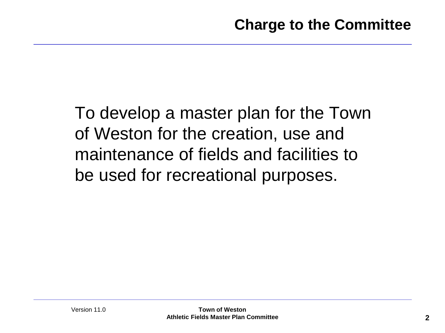To develop a master plan for the Town of Weston for the creation, use and maintenance of fields and facilities to be used for recreational purposes.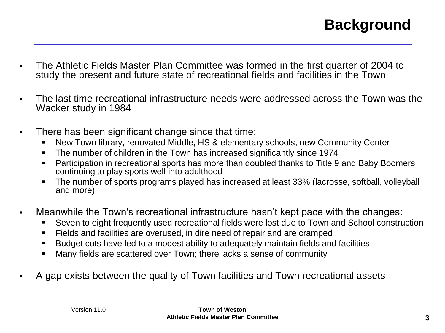# **Background**

- The Athletic Fields Master Plan Committee was formed in the first quarter of 2004 to study the present and future state of recreational fields and facilities in the Town
- The last time recreational infrastructure needs were addressed across the Town was the Wacker study in 1984
- There has been significant change since that time:
	- New Town library, renovated Middle, HS & elementary schools, new Community Center
	- The number of children in the Town has increased significantly since 1974
	- **Participation in recreational sports has more than doubled thanks to Title 9 and Baby Boomers** continuing to play sports well into adulthood
	- The number of sports programs played has increased at least 33% (lacrosse, softball, volleyball and more)
- Meanwhile the Town's recreational infrastructure hasn't kept pace with the changes:
	- Seven to eight frequently used recreational fields were lost due to Town and School construction
	- Fields and facilities are overused, in dire need of repair and are cramped
	- Budget cuts have led to a modest ability to adequately maintain fields and facilities
	- Many fields are scattered over Town; there lacks a sense of community
- A gap exists between the quality of Town facilities and Town recreational assets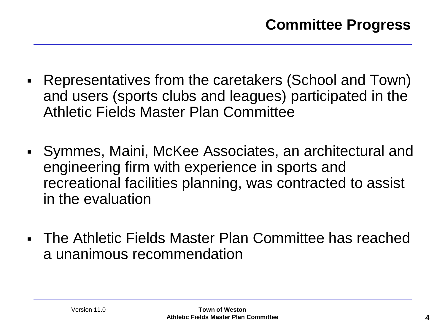- Representatives from the caretakers (School and Town) and users (sports clubs and leagues) participated in the Athletic Fields Master Plan Committee
- Symmes, Maini, McKee Associates, an architectural and engineering firm with experience in sports and recreational facilities planning, was contracted to assist in the evaluation
- The Athletic Fields Master Plan Committee has reached a unanimous recommendation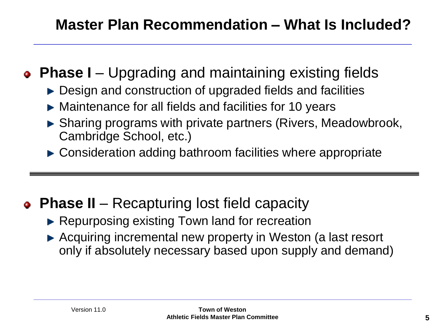## **Master Plan Recommendation – What Is Included?**

- **Phase I** Upgrading and maintaining existing fields
	- ► Design and construction of upgraded fields and facilities
	- ► Maintenance for all fields and facilities for 10 years
	- ► Sharing programs with private partners (Rivers, Meadowbrook, Cambridge School, etc.)
	- ► Consideration adding bathroom facilities where appropriate

# **Phase II** – Recapturing lost field capacity

- ► Repurposing existing Town land for recreation
- ► Acquiring incremental new property in Weston (a last resort only if absolutely necessary based upon supply and demand)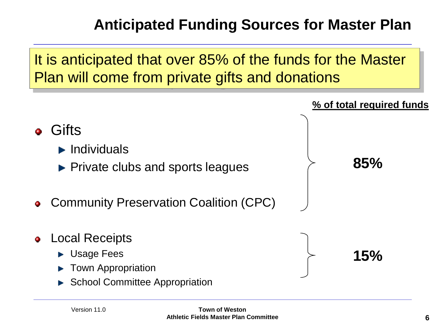# **Anticipated Funding Sources for Master Plan**

### It is anticipated that over 85% of the funds for the Master Plan will come from private gifts and donations

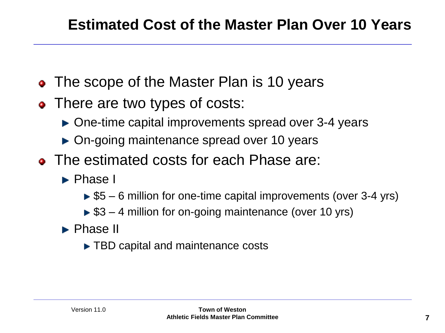- The scope of the Master Plan is 10 years
- There are two types of costs:
	- ▶ One-time capital improvements spread over 3-4 years
	- ▶ On-going maintenance spread over 10 years
- The estimated costs for each Phase are:
	- ► Phase I
		- $\triangleright$  \$5 6 million for one-time capital improvements (over 3-4 yrs)
		- $\triangleright$  \$3 4 million for on-going maintenance (over 10 yrs)
	- **Phase II** 
		- ► TBD capital and maintenance costs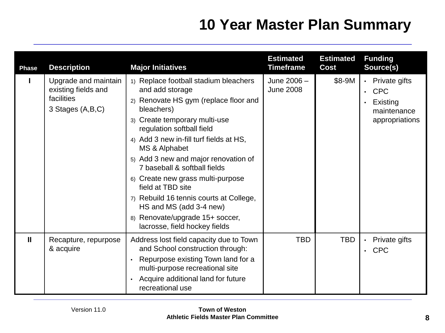## **10 Year Master Plan Summary**

| <b>Phase</b> | <b>Description</b>                                                            | <b>Major Initiatives</b>                                                                                                                                                                                                                                                                                                                                                                                                                                                                                              | <b>Estimated</b><br><b>Timeframe</b> | <b>Estimated</b><br>Cost | <b>Funding</b><br>Source(s)                                                                                     |
|--------------|-------------------------------------------------------------------------------|-----------------------------------------------------------------------------------------------------------------------------------------------------------------------------------------------------------------------------------------------------------------------------------------------------------------------------------------------------------------------------------------------------------------------------------------------------------------------------------------------------------------------|--------------------------------------|--------------------------|-----------------------------------------------------------------------------------------------------------------|
|              | Upgrade and maintain<br>existing fields and<br>facilities<br>3 Stages (A,B,C) | 1) Replace football stadium bleachers<br>and add storage<br>2) Renovate HS gym (replace floor and<br>bleachers)<br>3) Create temporary multi-use<br>regulation softball field<br>4) Add 3 new in-fill turf fields at HS,<br>MS & Alphabet<br>5) Add 3 new and major renovation of<br>7 baseball & softball fields<br>6) Create new grass multi-purpose<br>field at TBD site<br>7) Rebuild 16 tennis courts at College,<br>HS and MS (add 3-4 new)<br>8) Renovate/upgrade 15+ soccer,<br>lacrosse, field hockey fields | June 2006 -<br><b>June 2008</b>      | \$8-9M                   | Private gifts<br>$\bullet$<br><b>CPC</b><br>$\bullet$<br>Existing<br>$\bullet$<br>maintenance<br>appropriations |
| $\mathbf{I}$ | Recapture, repurpose<br>& acquire                                             | Address lost field capacity due to Town<br>and School construction through:<br>Repurpose existing Town land for a<br>multi-purpose recreational site<br>Acquire additional land for future<br>recreational use                                                                                                                                                                                                                                                                                                        | <b>TBD</b>                           | <b>TBD</b>               | Private gifts<br>$\bullet$<br><b>CPC</b><br>$\bullet$                                                           |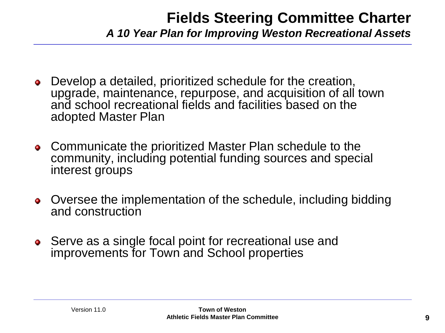#### **Fields Steering Committee Charter** *A 10 Year Plan for Improving Weston Recreational Assets*

- Develop a detailed, prioritized schedule for the creation, ۰ upgrade, maintenance, repurpose, and acquisition of all town and school recreational fields and facilities based on the adopted Master Plan
- Communicate the prioritized Master Plan schedule to the ۰ community, including potential funding sources and special interest groups
- Oversee the implementation of the schedule, including bidding ۰ and construction
- Serve as a single focal point for recreational use and ۰ improvements for Town and School properties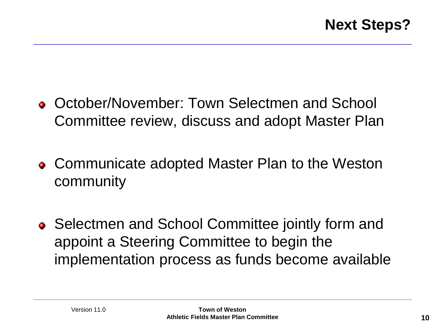- October/November: Town Selectmen and School Committee review, discuss and adopt Master Plan
- Communicate adopted Master Plan to the Weston community
- Selectmen and School Committee jointly form and appoint a Steering Committee to begin the implementation process as funds become available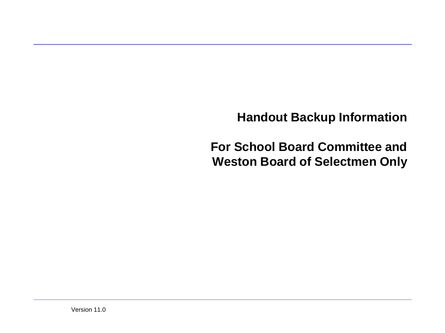**Handout Backup Information**

**For School Board Committee and Weston Board of Selectmen Only**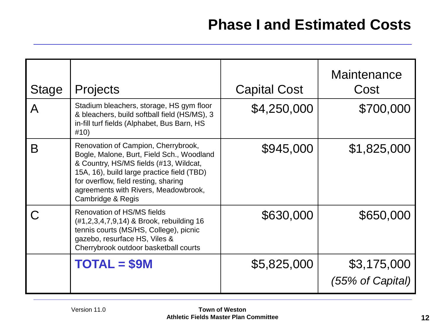| <b>Stage</b> | <b>Projects</b>                                                                                                                                                                                                                                                               | <b>Capital Cost</b> | Maintenance<br>Cost             |
|--------------|-------------------------------------------------------------------------------------------------------------------------------------------------------------------------------------------------------------------------------------------------------------------------------|---------------------|---------------------------------|
| A            | Stadium bleachers, storage, HS gym floor<br>& bleachers, build softball field (HS/MS), 3<br>in-fill turf fields (Alphabet, Bus Barn, HS<br>#10)                                                                                                                               | \$4,250,000         | \$700,000                       |
| B            | Renovation of Campion, Cherrybrook,<br>Bogle, Malone, Burt, Field Sch., Woodland<br>& Country, HS/MS fields (#13, Wildcat,<br>15A, 16), build large practice field (TBD)<br>for overflow, field resting, sharing<br>agreements with Rivers, Meadowbrook,<br>Cambridge & Regis | \$945,000           | \$1,825,000                     |
|              | Renovation of HS/MS fields<br>(#1,2,3,4,7,9,14) & Brook, rebuilding 16<br>tennis courts (MS/HS, College), picnic<br>gazebo, resurface HS, Viles &<br>Cherrybrook outdoor basketball courts                                                                                    | \$630,000           | \$650,000                       |
|              | <b>TOTAL = \$9M</b>                                                                                                                                                                                                                                                           | \$5,825,000         | \$3,175,000<br>(55% of Capital) |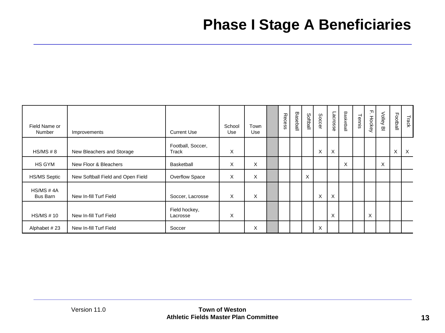### **Phase I Stage A Beneficiaries**

| Field Name or<br>Number       | Improvements                      | <b>Current Use</b>         | School<br>Use | Town<br>Use | Recess | Baseball | Softball | Soccer | Lacrosse | Basketball | Tennis | 고<br>Hockey | Volley<br>应 | Football | Track    |
|-------------------------------|-----------------------------------|----------------------------|---------------|-------------|--------|----------|----------|--------|----------|------------|--------|-------------|-------------|----------|----------|
| HS/MS # 8                     | New Bleachers and Storage         | Football, Soccer,<br>Track | X             |             |        |          |          | Χ      | X        |            |        |             |             | X        | $\times$ |
| HS GYM                        | New Floor & Bleachers             | Basketball                 | X             | X           |        |          |          |        |          | X          |        |             | X           |          |          |
| <b>HS/MS Septic</b>           | New Softball Field and Open Field | Overflow Space             | X             | X           |        |          | X        |        |          |            |        |             |             |          |          |
| HS/MS # 4A<br><b>Bus Barn</b> | New In-fill Turf Field            | Soccer, Lacrosse           | X             | X           |        |          |          | X      | X        |            |        |             |             |          |          |
| <b>HS/MS #10</b>              | New In-fill Turf Field            | Field hockey,<br>Lacrosse  | X             |             |        |          |          |        | X        |            |        | X           |             |          |          |
| Alphabet #23                  | New In-fill Turf Field            | Soccer                     |               | X           |        |          |          | X      |          |            |        |             |             |          |          |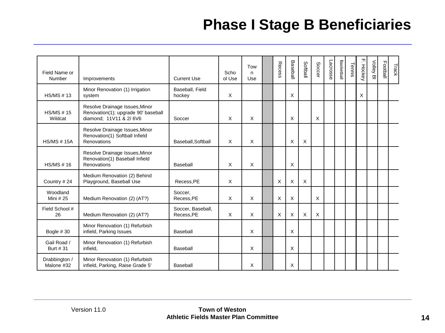### **Phase I Stage B Beneficiaries**

| Field Name or<br>Number     | Improvements                                                                                    | <b>Current Use</b>              | Scho<br>ol Use | Tow<br>n.<br>Use | Recess | Baseball | Softball | Soccer | Lacrosse | Basketball | Tennis | F. Hockey | Volley BI | Football | Track |
|-----------------------------|-------------------------------------------------------------------------------------------------|---------------------------------|----------------|------------------|--------|----------|----------|--------|----------|------------|--------|-----------|-----------|----------|-------|
| <b>HS/MS #13</b>            | Minor Renovation (1) Irrigation<br>system                                                       | Baseball, Field<br>hockey       | X              |                  |        | X        |          |        |          |            |        | X         |           |          |       |
| <b>HS/MS #15</b><br>Wildcat | Resolve Drainage Issues, Minor<br>Renovation(1); upgrade 90' baseball<br>diamond; 11V11 & 2/6V6 | Soccer                          | X              | X                |        | X        |          | X      |          |            |        |           |           |          |       |
| <b>HS/MS #15A</b>           | Resolve Drainage Issues, Minor<br>Renovation(1) Softball Infield<br>Renovations                 | Baseball, Softball              | $\sf X$        | X                |        | X        | X        |        |          |            |        |           |           |          |       |
| HS/MS # 16                  | Resolve Drainage Issues, Minor<br>Renovation(1) Baseball Infield<br>Renovations                 | Baseball                        | X              | X                |        | $\times$ |          |        |          |            |        |           |           |          |       |
| Country #24                 | Medium Renovation (2) Behind<br>Playground, Baseball Use                                        | Recess, PE                      | X              |                  | X      | X        | X        |        |          |            |        |           |           |          |       |
| Woodland<br>Mini # 25       | Medium Renovation (2) (AT?)                                                                     | Soccer,<br>Recess, PE           | $\times$       | X                | X      | $\times$ |          | X      |          |            |        |           |           |          |       |
| Field School #<br>26        | Medium Renovation (2) (AT?)                                                                     | Soccer, Baseball,<br>Recess, PE | X              | X                | X      | X        | $\times$ | X      |          |            |        |           |           |          |       |
| Bogle #30                   | Minor Renovation (1) Refurbish<br>infield, Parking Issues                                       | Baseball                        |                | $\times$         |        | $\times$ |          |        |          |            |        |           |           |          |       |
| Gail Road /<br>Burt # 31    | Minor Renovation (1) Refurbish<br>infield,                                                      | Baseball                        |                | $\times$         |        | $\times$ |          |        |          |            |        |           |           |          |       |
| Drabbington /<br>Malone #32 | Minor Renovation (1) Refurbish<br>infield, Parking, Raise Grade 5'                              | Baseball                        |                | X                |        | X        |          |        |          |            |        |           |           |          |       |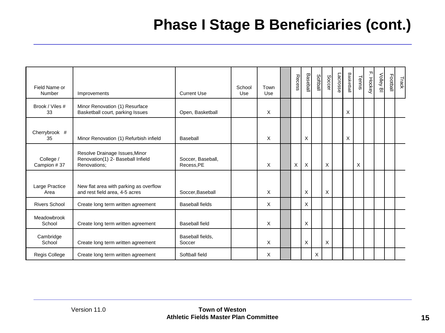# **Phase I Stage B Beneficiaries (cont.)**

| Field Name or<br>Number  | Improvements                                                                        | <b>Current Use</b>              | School<br>Use | Town<br>Use | Recess | <b>Baseball</b> | <b>Softball</b> | <b>Soccer</b> | Lacrosse | Basketball | Tennis | 고<br>-. Hockey | Volley<br>의 | Football | Track |
|--------------------------|-------------------------------------------------------------------------------------|---------------------------------|---------------|-------------|--------|-----------------|-----------------|---------------|----------|------------|--------|----------------|-------------|----------|-------|
| Brook / Viles #<br>33    | Minor Renovation (1) Resurface<br>Basketball court, parking Issues                  | Open, Basketball                |               | $\times$    |        |                 |                 |               |          | X          |        |                |             |          |       |
| Cherrybrook #<br>35      | Minor Renovation (1) Refurbish infield                                              | Baseball                        |               | X           |        | X               |                 |               |          | X          |        |                |             |          |       |
| College /<br>Campion #37 | Resolve Drainage Issues, Minor<br>Renovation(1) 2- Baseball Infield<br>Renovations: | Soccer, Baseball,<br>Recess, PE |               | X           | X      | X               |                 | X             |          |            | X      |                |             |          |       |
| Large Practice<br>Area   | New flat area with parking as overflow<br>and rest field area, 4-5 acres            | Soccer, Baseball                |               | X           |        | X               |                 | X             |          |            |        |                |             |          |       |
| <b>Rivers School</b>     | Create long term written agreement                                                  | Baseball fields                 |               | X           |        | X               |                 |               |          |            |        |                |             |          |       |
| Meadowbrook<br>School    | Create long term written agreement                                                  | Baseball field                  |               | X           |        | X               |                 |               |          |            |        |                |             |          |       |
| Cambridge<br>School      | Create long term written agreement                                                  | Baseball fields,<br>Soccer      |               | X           |        | X               |                 | X             |          |            |        |                |             |          |       |
| Regis College            | Create long term written agreement                                                  | Softball field                  |               | X           |        |                 | X               |               |          |            |        |                |             |          |       |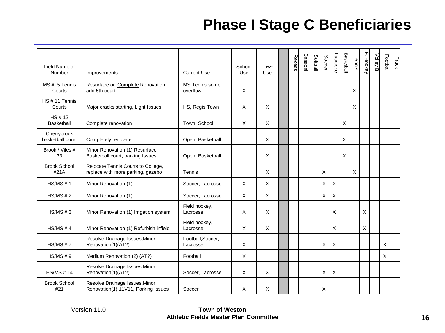### **Phase I Stage C Beneficiaries**

| Field Name or<br>Number         | Improvements                                                            | <b>Current Use</b>                | School<br>Use | Town<br>Use | Recess | Basebal | <b>Softball</b> | <b>Soccer</b> | Lacrosse | Basketball | Tennis | F. Hockey | Volley Bl | Football | Track |
|---------------------------------|-------------------------------------------------------------------------|-----------------------------------|---------------|-------------|--------|---------|-----------------|---------------|----------|------------|--------|-----------|-----------|----------|-------|
| MS# 5 Tennis<br>Courts          | Resurface or Complete Renovation;<br>add 5th court                      | <b>MS</b> Tennis some<br>overflow | X             |             |        |         |                 |               |          |            | X      |           |           |          |       |
| HS#11 Tennis<br>Courts          | Major cracks starting, Light Issues                                     | HS, Regis, Town                   | X             | X           |        |         |                 |               |          |            | X      |           |           |          |       |
| HS # 12<br>Basketball           | Complete renovation                                                     | Town, School                      | X             | X           |        |         |                 |               |          | X          |        |           |           |          |       |
| Cherrybrook<br>basketball court | Completely renovate                                                     | Open, Basketball                  |               | X           |        |         |                 |               |          | X          |        |           |           |          |       |
| Brook / Viles #<br>33           | Minor Renovation (1) Resurface<br>Basketball court, parking Issues      | Open, Basketball                  |               | X           |        |         |                 |               |          | X          |        |           |           |          |       |
| <b>Brook School</b><br>#21A     | Relocate Tennis Courts to College,<br>replace with more parking, gazebo | Tennis                            |               | X           |        |         |                 | X             |          |            | X      |           |           |          |       |
| HS/MS # 1                       | Minor Renovation (1)                                                    | Soccer, Lacrosse                  | X             | X           |        |         |                 | X             | $\times$ |            |        |           |           |          |       |
| HS/MS # 2                       | Minor Renovation (1)                                                    | Soccer, Lacrosse                  | X             | X           |        |         |                 | X             | $\times$ |            |        |           |           |          |       |
| HS/MS # 3                       | Minor Renovation (1) Irrigation system                                  | Field hockey,<br>Lacrosse         | X             | X           |        |         |                 |               | X        |            |        | X         |           |          |       |
| HS/MS # 4                       | Minor Renovation (1) Refurbish infield                                  | Field hockey,<br>Lacrosse         | X             | X           |        |         |                 |               | X        |            |        | X         |           |          |       |
| HS/MS # 7                       | Resolve Drainage Issues, Minor<br>Renovation(1)(AT?)                    | Football, Soccer,<br>Lacrosse     | X             |             |        |         |                 | X             | X        |            |        |           |           | X        |       |
| HS/MS # 9                       | Medium Renovation (2) (AT?)                                             | Football                          | X             |             |        |         |                 |               |          |            |        |           |           | X        |       |
| <b>HS/MS #14</b>                | Resolve Drainage Issues, Minor<br>Renovation(1)(AT?)                    | Soccer, Lacrosse                  | X             | X           |        |         |                 | X             | $\times$ |            |        |           |           |          |       |
| <b>Brook School</b><br>#21      | Resolve Drainage Issues, Minor<br>Renovation(1) 11V11, Parking Issues   | Soccer                            | X             | X           |        |         |                 | X             |          |            |        |           |           |          |       |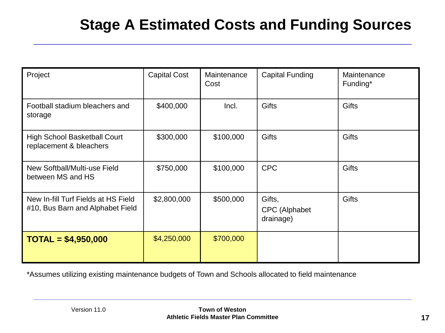# **Stage A Estimated Costs and Funding Sources**

| Project                                                                 | <b>Capital Cost</b> | Maintenance<br>Cost | <b>Capital Funding</b>                      | Maintenance<br>Funding* |
|-------------------------------------------------------------------------|---------------------|---------------------|---------------------------------------------|-------------------------|
| Football stadium bleachers and<br>storage                               | \$400,000           | Incl.               | <b>Gifts</b>                                | <b>Gifts</b>            |
| <b>High School Basketball Court</b><br>replacement & bleachers          | \$300,000           | \$100,000           | <b>Gifts</b>                                | Gifts                   |
| New Softball/Multi-use Field<br>between MS and HS                       | \$750,000           | \$100,000           | <b>CPC</b>                                  | <b>Gifts</b>            |
| New In-fill Turf Fields at HS Field<br>#10, Bus Barn and Alphabet Field | \$2,800,000         | \$500,000           | Gifts,<br><b>CPC</b> (Alphabet<br>drainage) | <b>Gifts</b>            |
| $TOTAL = $4,950,000$                                                    | \$4,250,000         | \$700,000           |                                             |                         |

\*Assumes utilizing existing maintenance budgets of Town and Schools allocated to field maintenance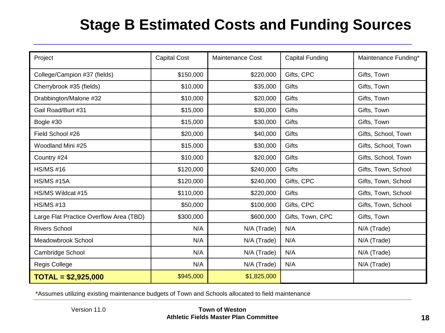# **Stage B Estimated Costs and Funding Sources**

| Project                                 | <b>Capital Cost</b> | <b>Maintenance Cost</b> | <b>Capital Funding</b> | Maintenance Funding* |
|-----------------------------------------|---------------------|-------------------------|------------------------|----------------------|
| College/Campion #37 (fields)            | \$150,000           | \$220,000               | Gifts, CPC             | Gifts, Town          |
| Cherrybrook #35 (fields)                | \$10,000            | \$35,000                | Gifts                  | Gifts, Town          |
| Drabbington/Malone #32                  | \$10,000            | \$20,000                | Gifts                  | Gifts, Town          |
| Gail Road/Burt #31                      | \$15,000            | \$30,000                | Gifts                  | Gifts, Town          |
| Bogle #30                               | \$15,000            | \$30,000                | Gifts                  | Gifts, Town          |
| Field School #26                        | \$20,000            | \$40,000                | Gifts                  | Gifts, School, Town  |
| Woodland Mini #25                       | \$15,000            | \$30,000                | Gifts                  | Gifts, School, Town  |
| Country #24                             | \$10,000            | \$20,000                | Gifts                  | Gifts, School, Town  |
| <b>HS/MS #16</b>                        | \$120,000           | \$240,000               | Gifts                  | Gifts, Town, School  |
| <b>HS/MS #15A</b>                       | \$120,000           | \$240,000               | Gifts, CPC             | Gifts, Town, School  |
| HS/MS Wildcat #15                       | \$110,000           | \$220,000               | Gifts                  | Gifts, Town, School  |
| <b>HS/MS #13</b>                        | \$50,000            | \$100,000               | Gifts, CPC             | Gifts, Town, School  |
| Large Flat Practice Overflow Area (TBD) | \$300,000           | \$600,000               | Gifts, Town, CPC       | Gifts, Town          |
| <b>Rivers School</b>                    | N/A                 | N/A (Trade)             | N/A                    | N/A (Trade)          |
| Meadowbrook School                      | N/A                 | N/A (Trade)             | N/A                    | N/A (Trade)          |
| Cambridge School                        | N/A                 | N/A (Trade)             | N/A                    | N/A (Trade)          |
| Regis College                           | N/A                 | N/A (Trade)             | N/A                    | N/A (Trade)          |
| $TOTAL = $2,925,000$                    | \$945,000           | \$1,825,000             |                        |                      |

\*Assumes utilizing existing maintenance budgets of Town and Schools allocated to field maintenance